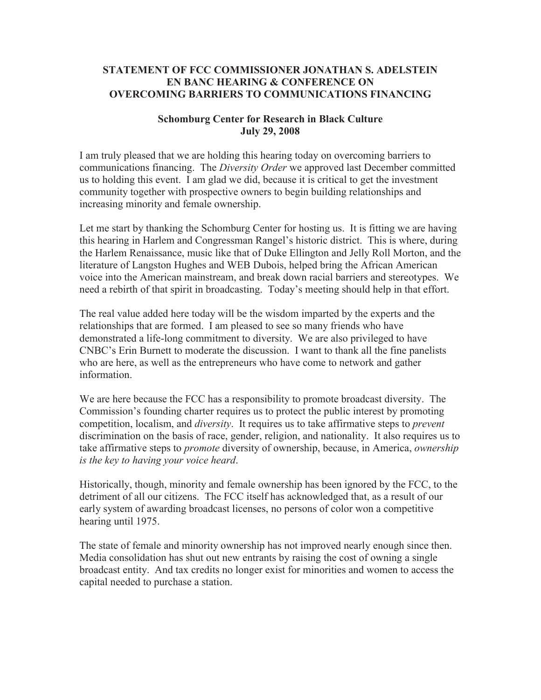## **STATEMENT OF FCC COMMISSIONER JONATHAN S. ADELSTEIN EN BANC HEARING & CONFERENCE ON OVERCOMING BARRIERS TO COMMUNICATIONS FINANCING**

## **Schomburg Center for Research in Black Culture July 29, 2008**

I am truly pleased that we are holding this hearing today on overcoming barriers to communications financing. The *Diversity Order* we approved last December committed us to holding this event. I am glad we did, because it is critical to get the investment community together with prospective owners to begin building relationships and increasing minority and female ownership.

Let me start by thanking the Schomburg Center for hosting us. It is fitting we are having this hearing in Harlem and Congressman Rangel's historic district. This is where, during the Harlem Renaissance, music like that of Duke Ellington and Jelly Roll Morton, and the literature of Langston Hughes and WEB Dubois, helped bring the African American voice into the American mainstream, and break down racial barriers and stereotypes. We need a rebirth of that spirit in broadcasting. Today's meeting should help in that effort.

The real value added here today will be the wisdom imparted by the experts and the relationships that are formed. I am pleased to see so many friends who have demonstrated a life-long commitment to diversity. We are also privileged to have CNBC's Erin Burnett to moderate the discussion. I want to thank all the fine panelists who are here, as well as the entrepreneurs who have come to network and gather information.

We are here because the FCC has a responsibility to promote broadcast diversity. The Commission's founding charter requires us to protect the public interest by promoting competition, localism, and *diversity*. It requires us to take affirmative steps to *prevent* discrimination on the basis of race, gender, religion, and nationality. It also requires us to take affirmative steps to *promote* diversity of ownership, because, in America, *ownership is the key to having your voice heard*.

Historically, though, minority and female ownership has been ignored by the FCC, to the detriment of all our citizens. The FCC itself has acknowledged that, as a result of our early system of awarding broadcast licenses, no persons of color won a competitive hearing until 1975.

The state of female and minority ownership has not improved nearly enough since then. Media consolidation has shut out new entrants by raising the cost of owning a single broadcast entity. And tax credits no longer exist for minorities and women to access the capital needed to purchase a station.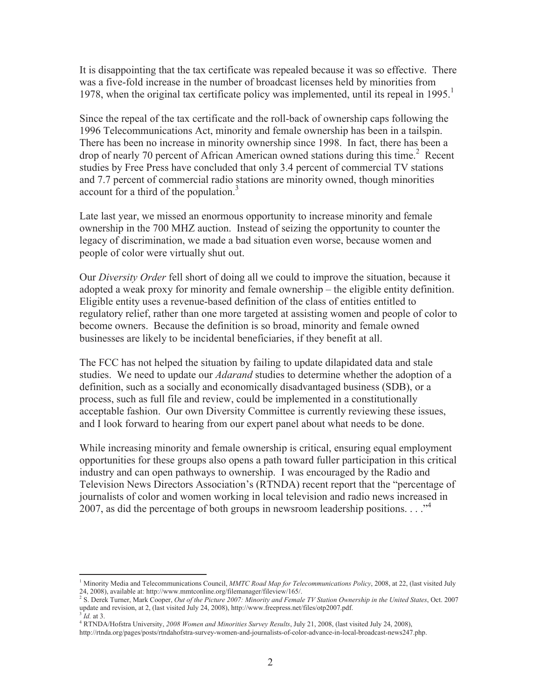It is disappointing that the tax certificate was repealed because it was so effective. There was a five-fold increase in the number of broadcast licenses held by minorities from 1978, when the original tax certificate policy was implemented, until its repeal in 1995.<sup>1</sup>

Since the repeal of the tax certificate and the roll-back of ownership caps following the 1996 Telecommunications Act, minority and female ownership has been in a tailspin. There has been no increase in minority ownership since 1998. In fact, there has been a drop of nearly 70 percent of African American owned stations during this time.<sup>2</sup> Recent studies by Free Press have concluded that only 3.4 percent of commercial TV stations and 7.7 percent of commercial radio stations are minority owned, though minorities account for a third of the population. $3$ 

Late last year, we missed an enormous opportunity to increase minority and female ownership in the 700 MHZ auction. Instead of seizing the opportunity to counter the legacy of discrimination, we made a bad situation even worse, because women and people of color were virtually shut out.

Our *Diversity Order* fell short of doing all we could to improve the situation, because it adopted a weak proxy for minority and female ownership – the eligible entity definition. Eligible entity uses a revenue-based definition of the class of entities entitled to regulatory relief, rather than one more targeted at assisting women and people of color to become owners. Because the definition is so broad, minority and female owned businesses are likely to be incidental beneficiaries, if they benefit at all.

The FCC has not helped the situation by failing to update dilapidated data and stale studies. We need to update our *Adarand* studies to determine whether the adoption of a definition, such as a socially and economically disadvantaged business (SDB), or a process, such as full file and review, could be implemented in a constitutionally acceptable fashion. Our own Diversity Committee is currently reviewing these issues, and I look forward to hearing from our expert panel about what needs to be done.

While increasing minority and female ownership is critical, ensuring equal employment opportunities for these groups also opens a path toward fuller participation in this critical industry and can open pathways to ownership. I was encouraged by the Radio and Television News Directors Association's (RTNDA) recent report that the "percentage of journalists of color and women working in local television and radio news increased in 2007, as did the percentage of both groups in newsroom leadership positions. . . .<sup>34</sup>

<sup>1</sup> Minority Media and Telecommunications Council, *MMTC Road Map for Telecommunications Policy*, 2008, at 22, (last visited July 24, 2008), available at: http://www.mmtconline.org/filemanager/fileview/165/.

<sup>2</sup> S. Derek Turner, Mark Cooper, *Out of the Picture 2007: Minority and Female TV Station Ownership in the United States*, Oct. 2007 update and revision, at 2, (last visited July 24, 2008), http://www.freepress.net/files/otp2007.pdf.  $\frac{3}{4}$  Id at 2 *Id.* at 3.

<sup>4</sup> RTNDA/Hofstra University, *2008 Women and Minorities Survey Results*, July 21, 2008, (last visited July 24, 2008),

http://rtnda.org/pages/posts/rtndahofstra-survey-women-and-journalists-of-color-advance-in-local-broadcast-news247.php.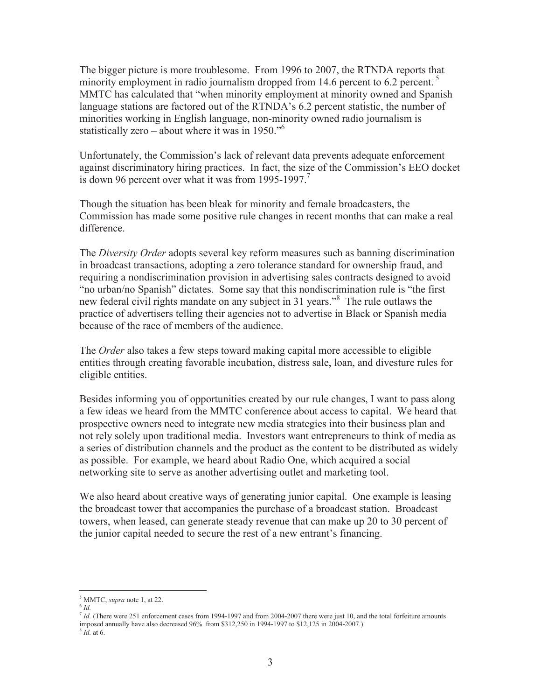The bigger picture is more troublesome. From 1996 to 2007, the RTNDA reports that minority employment in radio journalism dropped from  $14.6$  percent to  $6.2$  percent.<sup>5</sup> MMTC has calculated that "when minority employment at minority owned and Spanish language stations are factored out of the RTNDA's 6.2 percent statistic, the number of minorities working in English language, non-minority owned radio journalism is statistically zero – about where it was in 1950. $\cdot$ <sup>6</sup>

Unfortunately, the Commission's lack of relevant data prevents adequate enforcement against discriminatory hiring practices. In fact, the size of the Commission's EEO docket is down 96 percent over what it was from 1995-1997.<sup>7</sup>

Though the situation has been bleak for minority and female broadcasters, the Commission has made some positive rule changes in recent months that can make a real difference.

The *Diversity Order* adopts several key reform measures such as banning discrimination in broadcast transactions, adopting a zero tolerance standard for ownership fraud, and requiring a nondiscrimination provision in advertising sales contracts designed to avoid "no urban/no Spanish" dictates. Some say that this nondiscrimination rule is "the first new federal civil rights mandate on any subject in 31 years."<sup>8</sup> The rule outlaws the practice of advertisers telling their agencies not to advertise in Black or Spanish media because of the race of members of the audience.

The *Order* also takes a few steps toward making capital more accessible to eligible entities through creating favorable incubation, distress sale, loan, and divesture rules for eligible entities.

Besides informing you of opportunities created by our rule changes, I want to pass along a few ideas we heard from the MMTC conference about access to capital. We heard that prospective owners need to integrate new media strategies into their business plan and not rely solely upon traditional media. Investors want entrepreneurs to think of media as a series of distribution channels and the product as the content to be distributed as widely as possible. For example, we heard about Radio One, which acquired a social networking site to serve as another advertising outlet and marketing tool.

We also heard about creative ways of generating junior capital. One example is leasing the broadcast tower that accompanies the purchase of a broadcast station. Broadcast towers, when leased, can generate steady revenue that can make up 20 to 30 percent of the junior capital needed to secure the rest of a new entrant's financing.

<sup>5</sup> MMTC, *supra* note 1, at 22.

<sup>6</sup> *Id.* 

*Id.* (There were 251 enforcement cases from 1994-1997 and from 2004-2007 there were just 10, and the total forfeiture amounts imposed annually have also decreased 96% from \$312,250 in 1994-1997 to \$12,125 in 2004-2007.)

<sup>8</sup> *Id.* at 6.